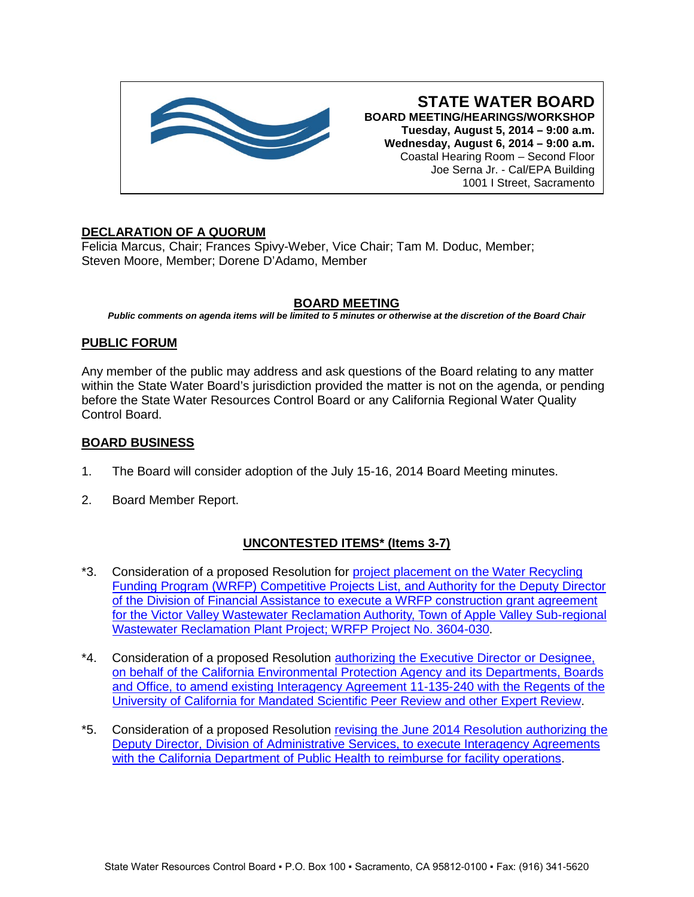

**STATE WATER BOARD BOARD MEETING/HEARINGS/WORKSHOP Tuesday, August 5, 2014 – 9:00 a.m. Wednesday, August 6, 2014 – 9:00 a.m.** Coastal Hearing Room – Second Floor Joe Serna Jr. - Cal/EPA Building 1001 I Street, Sacramento

# **DECLARATION OF A QUORUM**

Felicia Marcus, Chair; Frances Spivy-Weber, Vice Chair; Tam M. Doduc, Member; Steven Moore, Member; Dorene D'Adamo, Member

# **BOARD MEETING**

*Public comments on agenda items will be limited to 5 minutes or otherwise at the discretion of the Board Chair*

# **PUBLIC FORUM**

Any member of the public may address and ask questions of the Board relating to any matter within the State Water Board's jurisdiction provided the matter is not on the agenda, or pending before the State Water Resources Control Board or any California Regional Water Quality Control Board.

# **BOARD BUSINESS**

- 1. The Board will consider adoption of the July 15-16, 2014 Board Meeting minutes.
- 2. Board Member Report.

# **UNCONTESTED ITEMS\* (Items 3-7)**

- \*3. Consideration of a proposed Resolution for [project placement on the Water Recycling](http://www.waterboards.ca.gov/board_info/agendas/2014/aug/080514_3.pdf)  [Funding Program \(WRFP\) Competitive Projects List, and Authority for the Deputy Director](http://www.waterboards.ca.gov/board_info/agendas/2014/aug/080514_3.pdf)  [of the Division of Financial Assistance to execute a WRFP construction grant agreement](http://www.waterboards.ca.gov/board_info/agendas/2014/aug/080514_3.pdf)  [for the Victor Valley Wastewater Reclamation Authority, Town of Apple Valley Sub-regional](http://www.waterboards.ca.gov/board_info/agendas/2014/aug/080514_3.pdf)  [Wastewater Reclamation Plant Project; WRFP Project No. 3604-030.](http://www.waterboards.ca.gov/board_info/agendas/2014/aug/080514_3.pdf)
- \*4. Consideration of a proposed Resolution [authorizing the Executive Director or Designee,](http://www.waterboards.ca.gov/board_info/agendas/2014/aug/080514_4.pdf)  [on behalf of the California Environmental Protection Agency and its Departments, Boards](http://www.waterboards.ca.gov/board_info/agendas/2014/aug/080514_4.pdf)  [and Office, to amend existing Interagency Agreement 11-135-240 with the Regents of the](http://www.waterboards.ca.gov/board_info/agendas/2014/aug/080514_4.pdf)  [University of California for Mandated Scientific Peer Review and other Expert Review.](http://www.waterboards.ca.gov/board_info/agendas/2014/aug/080514_4.pdf)
- \*5. Consideration of a proposed Resolution [revising the June 2014 Resolution authorizing the](http://www.waterboards.ca.gov/board_info/agendas/2014/aug/080514_5.pdf)  [Deputy Director, Division of Administrative Services, to execute Interagency Agreements](http://www.waterboards.ca.gov/board_info/agendas/2014/aug/080514_5.pdf)  [with the California Department of Public Health to reimburse for facility operations.](http://www.waterboards.ca.gov/board_info/agendas/2014/aug/080514_5.pdf)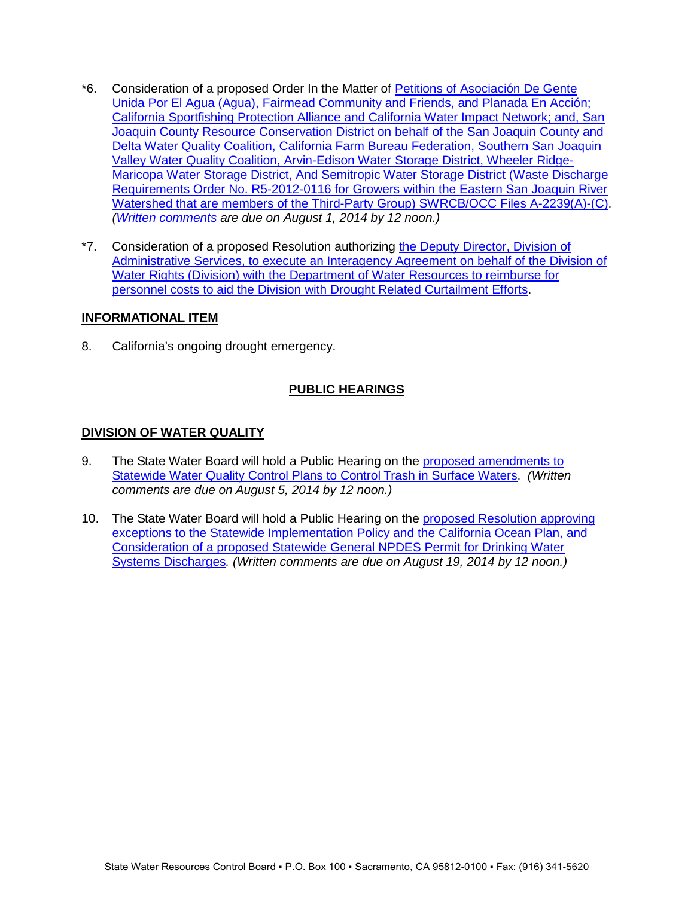- \*6. Consideration of a proposed Order In the Matter of [Petitions of Asociación De Gente](http://www.waterboards.ca.gov/board_info/agendas/2014/aug/080514_6.pdf)  [Unida Por El Agua \(Agua\), Fairmead Community and Friends, and Planada En Acción;](http://www.waterboards.ca.gov/board_info/agendas/2014/aug/080514_6.pdf)  [California Sportfishing Protection Alliance and California Water Impact Network; and, San](http://www.waterboards.ca.gov/board_info/agendas/2014/aug/080514_6.pdf)  [Joaquin County Resource Conservation District on behalf of](http://www.waterboards.ca.gov/board_info/agendas/2014/aug/080514_6.pdf) the San Joaquin County and [Delta Water Quality Coalition, California Farm Bureau Federation, Southern San Joaquin](http://www.waterboards.ca.gov/board_info/agendas/2014/aug/080514_6.pdf)  [Valley Water Quality Coalition, Arvin-Edison Water Storage District, Wheeler Ridge-](http://www.waterboards.ca.gov/board_info/agendas/2014/aug/080514_6.pdf)[Maricopa Water Storage District, And Semitropic Water Storage District \(Waste Discharge](http://www.waterboards.ca.gov/board_info/agendas/2014/aug/080514_6.pdf)  [Requirements Order No. R5-2012-0116 for Growers within the Eastern San](http://www.waterboards.ca.gov/board_info/agendas/2014/aug/080514_6.pdf) Joaquin River Watershed that are members of the Third-Party Group) [SWRCB/OCC Files A-2239\(A\)-\(C\).](http://www.waterboards.ca.gov/board_info/agendas/2014/aug/080514_6.pdf) *[\(Written comments](http://www.waterboards.ca.gov/public_notices/comments/a2239/comments080114.shtml) are due on August 1, 2014 by 12 noon.)*
- \*7. Consideration of a proposed Resolution authorizing [the Deputy Director, Division of](http://www.waterboards.ca.gov/board_info/agendas/2014/aug/080514_7.pdf)  [Administrative Services, to execute an Interagency Agreement on behalf of the Division of](http://www.waterboards.ca.gov/board_info/agendas/2014/aug/080514_7.pdf)  [Water Rights \(Division\) with the Department of Water Resources to reimburse for](http://www.waterboards.ca.gov/board_info/agendas/2014/aug/080514_7.pdf)  [personnel costs to aid the Division with Drought Related Curtailment Efforts.](http://www.waterboards.ca.gov/board_info/agendas/2014/aug/080514_7.pdf)

## **INFORMATIONAL ITEM**

8. California's ongoing drought emergency.

# **PUBLIC HEARINGS**

# **DIVISION OF WATER QUALITY**

- 9. The State Water Board will hold a Public Hearing on the [proposed amendments to](http://www.waterboards.ca.gov/board_info/agendas/2014/aug/080514_9.pdf)  [Statewide Water Quality Control Plans to Control Trash in Surface Waters.](http://www.waterboards.ca.gov/board_info/agendas/2014/aug/080514_9.pdf) *(Written comments are due on August 5, 2014 by 12 noon.)*
- 10. The State Water Board will hold a Public Hearing on the [proposed Resolution approving](http://www.waterboards.ca.gov/board_info/agendas/2014/aug/080514_10.pdf)  [exceptions to the Statewide Implementation Policy and the California Ocean Plan, and](http://www.waterboards.ca.gov/board_info/agendas/2014/aug/080514_10.pdf)  [Consideration of a proposed Statewide General NPDES Permit for Drinking Water](http://www.waterboards.ca.gov/board_info/agendas/2014/aug/080514_10.pdf)  [Systems Discharges](http://www.waterboards.ca.gov/board_info/agendas/2014/aug/080514_10.pdf)*. (Written comments are due on August 19, 2014 by 12 noon.)*